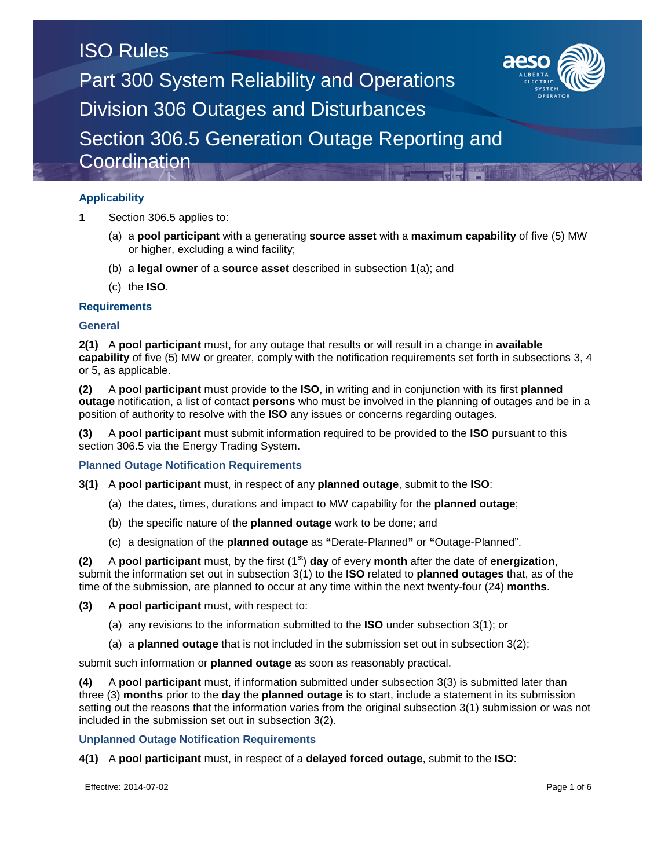## **Applicability**

- **1** Section 306.5 applies to:
	- (a) a **pool participant** with a generating **source asset** with a **maximum capability** of five (5) MW or higher, excluding a wind facility;
	- (b) a **legal owner** of a **source asset** described in subsection 1(a); and
	- (c) the **ISO**.

## **Requirements**

### **General**

**2(1)** A **pool participant** must, for any outage that results or will result in a change in **available capability** of five (5) MW or greater, comply with the notification requirements set forth in subsections 3, 4 or 5, as applicable.

**(2)** A **pool participant** must provide to the **ISO**, in writing and in conjunction with its first **planned outage** notification, a list of contact **persons** who must be involved in the planning of outages and be in a position of authority to resolve with the **ISO** any issues or concerns regarding outages.

**(3)** A **pool participant** must submit information required to be provided to the **ISO** pursuant to this section 306.5 via the Energy Trading System.

**Planned Outage Notification Requirements**

- **3(1)** A **pool participant** must, in respect of any **planned outage**, submit to the **ISO**:
	- (a) the dates, times, durations and impact to MW capability for the **planned outage**;
	- (b) the specific nature of the **planned outage** work to be done; and
	- (c) a designation of the **planned outage** as **"**Derate-Planned**"** or **"**Outage-Planned".

**(2)** A **pool participant** must, by the first (1<sup>st</sup>) **day** of every **month** after the date of **energization**, submit the information set out in subsection 3(1) to the **ISO** related to **planned outages** that, as of the time of the submission, are planned to occur at any time within the next twenty-four (24) **months**.

**(3)** A **pool participant** must, with respect to:

- (a) any revisions to the information submitted to the **ISO** under subsection 3(1); or
- (a) a **planned outage** that is not included in the submission set out in subsection 3(2);

submit such information or **planned outage** as soon as reasonably practical.

**(4)** A **pool participant** must, if information submitted under subsection 3(3) is submitted later than three (3) **months** prior to the **day** the **planned outage** is to start, include a statement in its submission setting out the reasons that the information varies from the original subsection 3(1) submission or was not included in the submission set out in subsection 3(2).

**Unplanned Outage Notification Requirements**

**4(1)** A **pool participant** must, in respect of a **delayed forced outage**, submit to the **ISO**:

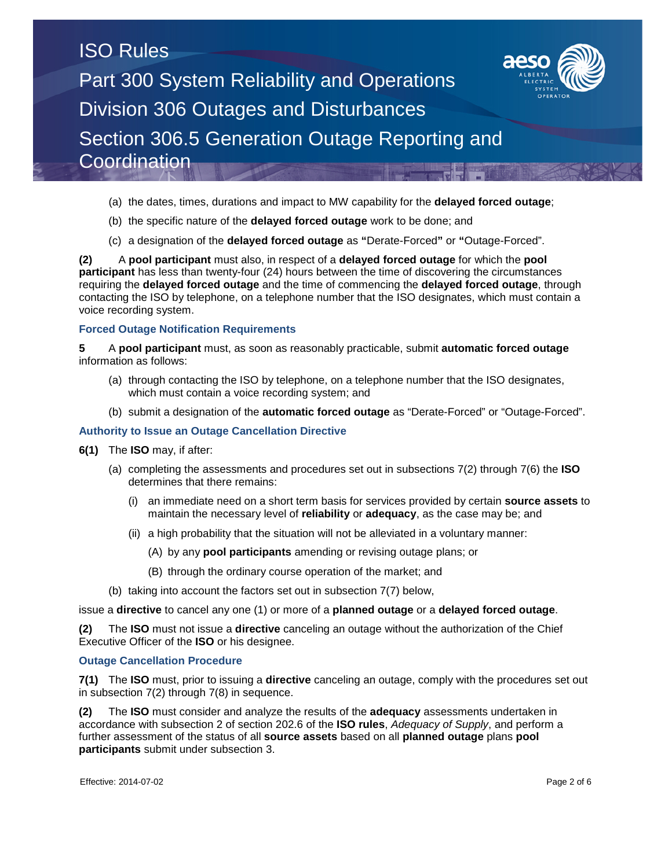

- (b) the specific nature of the **delayed forced outage** work to be done; and
- (c) a designation of the **delayed forced outage** as **"**Derate-Forced**"** or **"**Outage-Forced".

**(2)** A **pool participant** must also, in respect of a **delayed forced outage** for which the **pool participant** has less than twenty-four (24) hours between the time of discovering the circumstances requiring the **delayed forced outage** and the time of commencing the **delayed forced outage**, through contacting the ISO by telephone, on a telephone number that the ISO designates, which must contain a voice recording system.

### **Forced Outage Notification Requirements**

**5** A **pool participant** must, as soon as reasonably practicable, submit **automatic forced outage** information as follows:

- (a) through contacting the ISO by telephone, on a telephone number that the ISO designates, which must contain a voice recording system; and
- (b) submit a designation of the **automatic forced outage** as "Derate-Forced" or "Outage-Forced".

### **Authority to Issue an Outage Cancellation Directive**

- **6(1)** The **ISO** may, if after:
	- (a) completing the assessments and procedures set out in subsections 7(2) through 7(6) the **ISO**  determines that there remains:
		- (i) an immediate need on a short term basis for services provided by certain **source assets** to maintain the necessary level of **reliability** or **adequacy**, as the case may be; and
		- (ii) a high probability that the situation will not be alleviated in a voluntary manner:
			- (A) by any **pool participants** amending or revising outage plans; or
			- (B) through the ordinary course operation of the market; and
	- (b) taking into account the factors set out in subsection 7(7) below,

#### issue a **directive** to cancel any one (1) or more of a **planned outage** or a **delayed forced outage**.

**(2)** The **ISO** must not issue a **directive** canceling an outage without the authorization of the Chief Executive Officer of the **ISO** or his designee.

### **Outage Cancellation Procedure**

**7(1)** The **ISO** must, prior to issuing a **directive** canceling an outage, comply with the procedures set out in subsection 7(2) through 7(8) in sequence.

**(2)** The **ISO** must consider and analyze the results of the **adequacy** assessments undertaken in accordance with subsection 2 of section 202.6 of the **ISO rules**, *Adequacy of Supply*, and perform a further assessment of the status of all **source assets** based on all **planned outage** plans **pool participants** submit under subsection 3.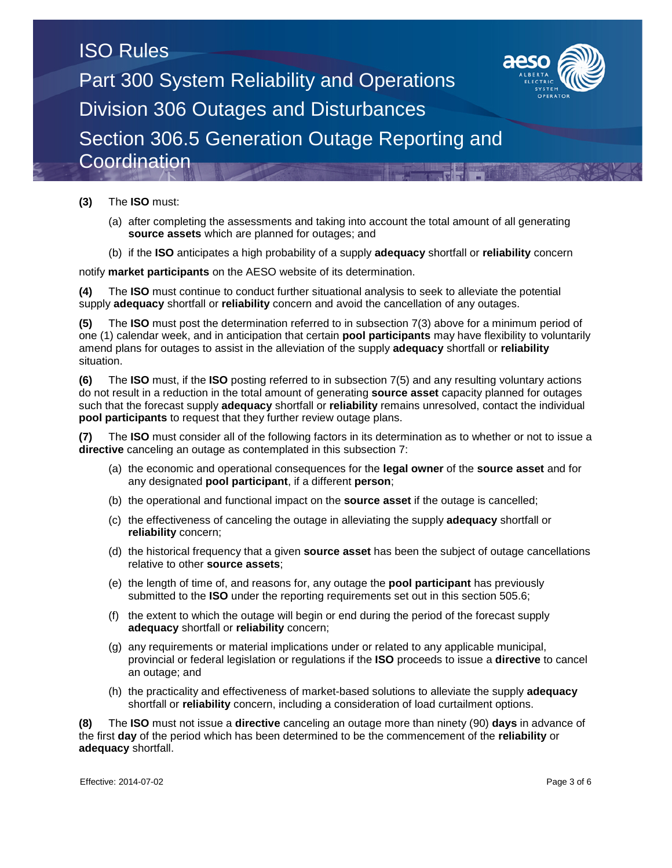

### **(3)** The **ISO** must:

- (a) after completing the assessments and taking into account the total amount of all generating **source assets** which are planned for outages; and
- (b) if the **ISO** anticipates a high probability of a supply **adequacy** shortfall or **reliability** concern

notify **market participants** on the AESO website of its determination.

**(4)** The **ISO** must continue to conduct further situational analysis to seek to alleviate the potential supply **adequacy** shortfall or **reliability** concern and avoid the cancellation of any outages.

**(5)** The **ISO** must post the determination referred to in subsection 7(3) above for a minimum period of one (1) calendar week, and in anticipation that certain **pool participants** may have flexibility to voluntarily amend plans for outages to assist in the alleviation of the supply **adequacy** shortfall or **reliability** situation.

**(6)** The **ISO** must, if the **ISO** posting referred to in subsection 7(5) and any resulting voluntary actions do not result in a reduction in the total amount of generating **source asset** capacity planned for outages such that the forecast supply **adequacy** shortfall or **reliability** remains unresolved, contact the individual **pool participants** to request that they further review outage plans.

**(7)** The **ISO** must consider all of the following factors in its determination as to whether or not to issue a **directive** canceling an outage as contemplated in this subsection 7:

- (a) the economic and operational consequences for the **legal owner** of the **source asset** and for any designated **pool participant**, if a different **person**;
- (b) the operational and functional impact on the **source asset** if the outage is cancelled;
- (c) the effectiveness of canceling the outage in alleviating the supply **adequacy** shortfall or **reliability** concern;
- (d) the historical frequency that a given **source asset** has been the subject of outage cancellations relative to other **source assets**;
- (e) the length of time of, and reasons for, any outage the **pool participant** has previously submitted to the **ISO** under the reporting requirements set out in this section 505.6;
- (f) the extent to which the outage will begin or end during the period of the forecast supply **adequacy** shortfall or **reliability** concern;
- (g) any requirements or material implications under or related to any applicable municipal, provincial or federal legislation or regulations if the **ISO** proceeds to issue a **directive** to cancel an outage; and
- (h) the practicality and effectiveness of market-based solutions to alleviate the supply **adequacy**  shortfall or **reliability** concern, including a consideration of load curtailment options.

**(8)** The **ISO** must not issue a **directive** canceling an outage more than ninety (90) **days** in advance of the first **day** of the period which has been determined to be the commencement of the **reliability** or **adequacy** shortfall.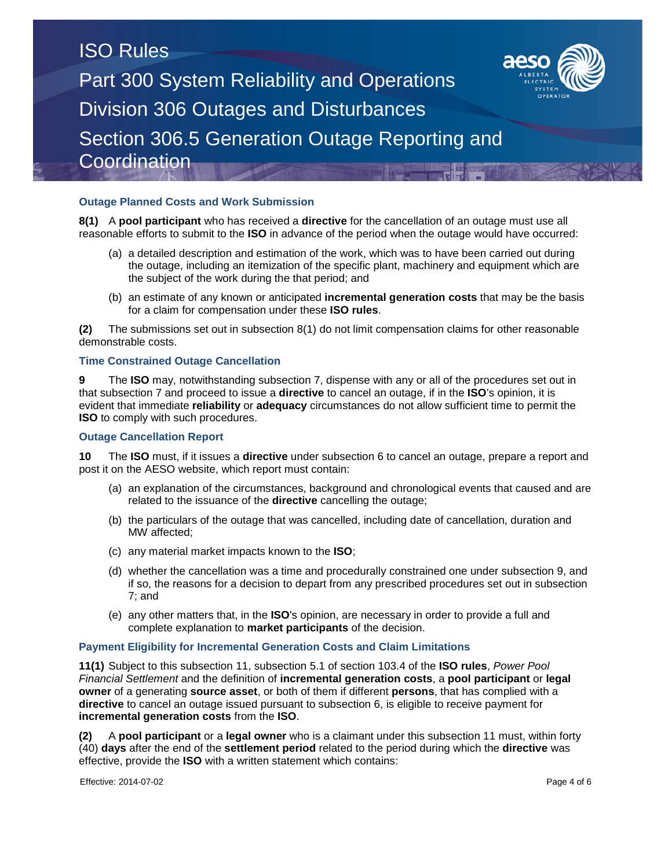### **Outage Planned Costs and Work Submission**

**8(1)** A **pool participant** who has received a **directive** for the cancellation of an outage must use all reasonable efforts to submit to the **ISO** in advance of the period when the outage would have occurred:

- (a) a detailed description and estimation of the work, which was to have been carried out during the outage, including an itemization of the specific plant, machinery and equipment which are the subject of the work during the that period; and
- (b) an estimate of any known or anticipated **incremental generation costs** that may be the basis for a claim for compensation under these **ISO rules**.

**(2)** The submissions set out in subsection 8(1) do not limit compensation claims for other reasonable demonstrable costs.

### **Time Constrained Outage Cancellation**

**9** The **ISO** may, notwithstanding subsection 7, dispense with any or all of the procedures set out in that subsection 7 and proceed to issue a **directive** to cancel an outage, if in the **ISO**'s opinion, it is evident that immediate **reliability** or **adequacy** circumstances do not allow sufficient time to permit the **ISO** to comply with such procedures.

#### **Outage Cancellation Report**

**10** The **ISO** must, if it issues a **directive** under subsection 6 to cancel an outage, prepare a report and post it on the AESO website, which report must contain:

- (a) an explanation of the circumstances, background and chronological events that caused and are related to the issuance of the **directive** cancelling the outage;
- (b) the particulars of the outage that was cancelled, including date of cancellation, duration and MW affected;
- (c) any material market impacts known to the **ISO**;
- (d) whether the cancellation was a time and procedurally constrained one under subsection 9, and if so, the reasons for a decision to depart from any prescribed procedures set out in subsection 7; and
- (e) any other matters that, in the **ISO**'s opinion, are necessary in order to provide a full and complete explanation to **market participants** of the decision.

#### **Payment Eligibility for Incremental Generation Costs and Claim Limitations**

**11(1)** Subject to this subsection 11, subsection 5.1 of section 103.4 of the **ISO rules**, *Power Pool Financial Settlement* and the definition of **incremental generation costs**, a **pool participant** or **legal owner** of a generating **source asset**, or both of them if different **persons**, that has complied with a **directive** to cancel an outage issued pursuant to subsection 6, is eligible to receive payment for **incremental generation costs** from the **ISO**.

**(2)** A **pool participant** or a **legal owner** who is a claimant under this subsection 11 must, within forty (40) **days** after the end of the **settlement period** related to the period during which the **directive** was effective, provide the **ISO** with a written statement which contains: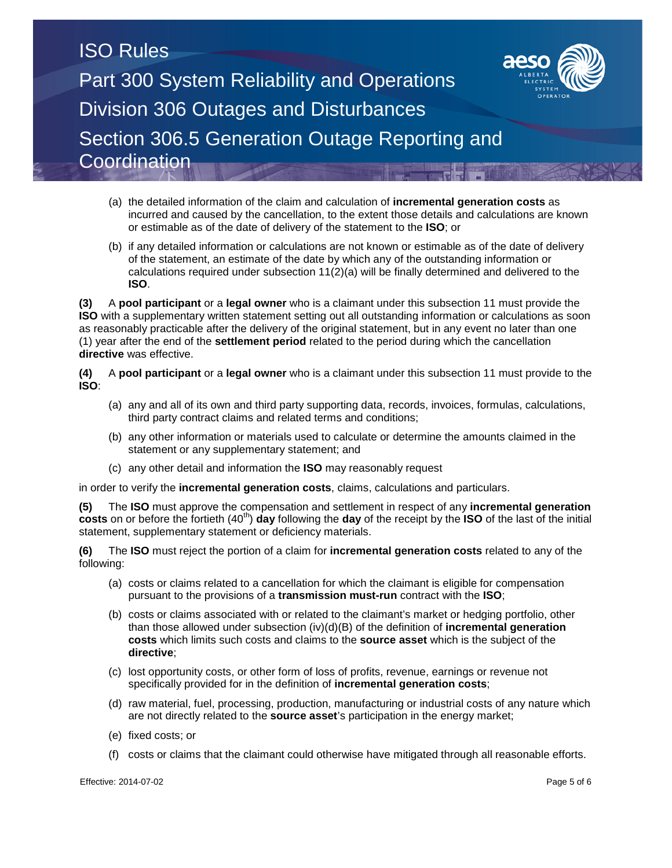- (a) the detailed information of the claim and calculation of **incremental generation costs** as incurred and caused by the cancellation, to the extent those details and calculations are known or estimable as of the date of delivery of the statement to the **ISO**; or
- (b) if any detailed information or calculations are not known or estimable as of the date of delivery of the statement, an estimate of the date by which any of the outstanding information or calculations required under subsection 11(2)(a) will be finally determined and delivered to the **ISO**.

**(3)** A **pool participant** or a **legal owner** who is a claimant under this subsection 11 must provide the **ISO** with a supplementary written statement setting out all outstanding information or calculations as soon as reasonably practicable after the delivery of the original statement, but in any event no later than one (1) year after the end of the **settlement period** related to the period during which the cancellation **directive** was effective.

**(4)** A **pool participant** or a **legal owner** who is a claimant under this subsection 11 must provide to the **ISO**:

- (a) any and all of its own and third party supporting data, records, invoices, formulas, calculations, third party contract claims and related terms and conditions;
- (b) any other information or materials used to calculate or determine the amounts claimed in the statement or any supplementary statement; and
- (c) any other detail and information the **ISO** may reasonably request

in order to verify the **incremental generation costs**, claims, calculations and particulars.

**(5)** The **ISO** must approve the compensation and settlement in respect of any **incremental generation costs** on or before the fortieth (40<sup>th</sup>) **day** following the **day** of the receipt by the **ISO** of the last of the initial statement, supplementary statement or deficiency materials.

**(6)** The **ISO** must reject the portion of a claim for **incremental generation costs** related to any of the following:

- (a) costs or claims related to a cancellation for which the claimant is eligible for compensation pursuant to the provisions of a **transmission must-run** contract with the **ISO**;
- (b) costs or claims associated with or related to the claimant's market or hedging portfolio, other than those allowed under subsection (iv)(d)(B) of the definition of **incremental generation costs** which limits such costs and claims to the **source asset** which is the subject of the **directive**;
- (c) lost opportunity costs, or other form of loss of profits, revenue, earnings or revenue not specifically provided for in the definition of **incremental generation costs**;
- (d) raw material, fuel, processing, production, manufacturing or industrial costs of any nature which are not directly related to the **source asset**'s participation in the energy market;
- (e) fixed costs; or
- (f) costs or claims that the claimant could otherwise have mitigated through all reasonable efforts.